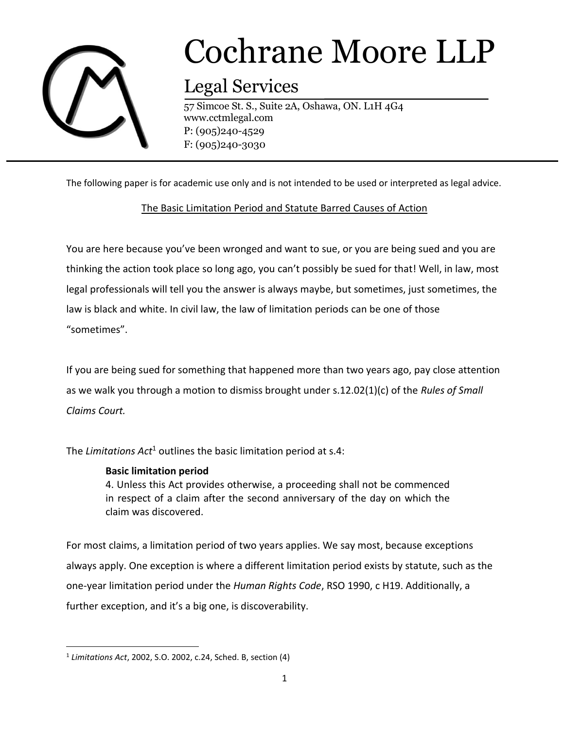

# Cochrane Moore LLP

## Legal Services

57 Simcoe St. S., Suite 2A, Oshawa, ON. L1H 4G4 www.cctmlegal.com P: (905)240-4529 F: (905)240-3030

The following paper is for academic use only and is not intended to be used or interpreted as legal advice.

### The Basic Limitation Period and Statute Barred Causes of Action

You are here because you've been wronged and want to sue, or you are being sued and you are thinking the action took place so long ago, you can't possibly be sued for that! Well, in law, most legal professionals will tell you the answer is always maybe, but sometimes, just sometimes, the law is black and white. In civil law, the law of limitation periods can be one of those "sometimes".

If you are being sued for something that happened more than two years ago, pay close attention as we walk you through a motion to dismiss brought under s.12.02(1)(c) of the *Rules of Small Claims Court.* 

The *Limitations Act*<sup>1</sup> outlines the basic limitation period at s.4:

#### **Basic limitation period**

4. Unless this Act provides otherwise, a proceeding shall not be commenced in respect of a claim after the second anniversary of the day on which the claim was discovered.

For most claims, a limitation period of two years applies. We say most, because exceptions always apply. One exception is where a different limitation period exists by statute, such as the one-year limitation period under the *Human Rights Code*, RSO 1990, c H19. Additionally, a further exception, and it's a big one, is discoverability.

 $\overline{\phantom{a}}$ 

<sup>1</sup> *Limitations Act*, 2002, S.O. 2002, c.24, Sched. B, section (4)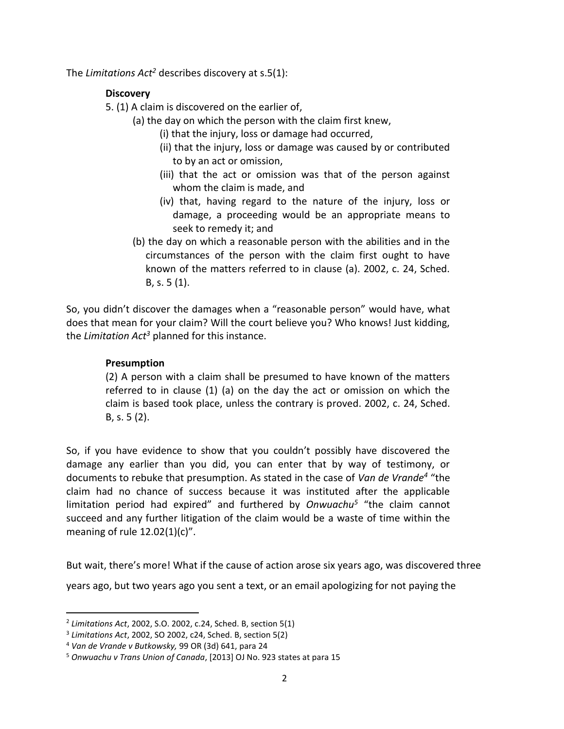The *Limitations Act<sup>2</sup>* describes discovery at s.5(1):

#### **Discovery**

5. (1) A claim is discovered on the earlier of,

- (a) the day on which the person with the claim first knew,
	- (i) that the injury, loss or damage had occurred,
	- (ii) that the injury, loss or damage was caused by or contributed to by an act or omission,
	- (iii) that the act or omission was that of the person against whom the claim is made, and
	- (iv) that, having regard to the nature of the injury, loss or damage, a proceeding would be an appropriate means to seek to remedy it; and
	- (b) the day on which a reasonable person with the abilities and in the circumstances of the person with the claim first ought to have known of the matters referred to in clause (a). 2002, c. 24, Sched. B, s. 5 (1).

So, you didn't discover the damages when a "reasonable person" would have, what does that mean for your claim? Will the court believe you? Who knows! Just kidding, the *Limitation Act<sup>3</sup>* planned for this instance.

### **Presumption**

(2) A person with a claim shall be presumed to have known of the matters referred to in clause (1) (a) on the day the act or omission on which the claim is based took place, unless the contrary is proved. 2002, c. 24, Sched. B, s. 5 (2).

So, if you have evidence to show that you couldn't possibly have discovered the damage any earlier than you did, you can enter that by way of testimony, or documents to rebuke that presumption. As stated in the case of *Van de Vrande<sup>4</sup>* "the claim had no chance of success because it was instituted after the applicable limitation period had expired" and furthered by *Onwuachu<sup>5</sup>* "the claim cannot succeed and any further litigation of the claim would be a waste of time within the meaning of rule 12.02(1)(c)".

But wait, there's more! What if the cause of action arose six years ago, was discovered three

years ago, but two years ago you sent a text, or an email apologizing for not paying the

l

<sup>2</sup> *Limitations Act*, 2002, S.O. 2002, c.24, Sched. B, section 5(1)

<sup>3</sup> *Limitations Act*, 2002, SO 2002, c24, Sched. B, section 5(2)

<sup>4</sup> *Van de Vrande v Butkowsky,* 99 OR (3d) 641, para 24

<sup>5</sup> *Onwuachu v Trans Union of Canada*, [2013] OJ No. 923 states at para 15